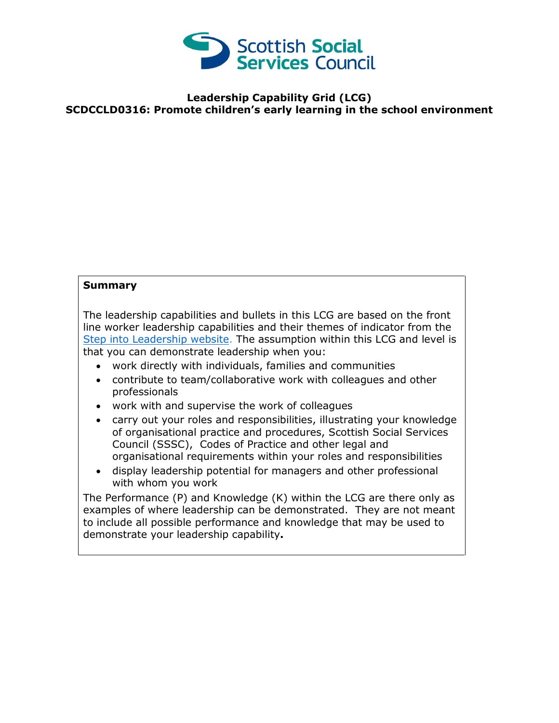

## **Leadership Capability Grid (LCG) SCDCCLD0316: Promote children's early learning in the school environment**

## **Summary**

The leadership capabilities and bullets in this LCG are based on the front line worker leadership capabilities and their themes of indicator from the [Step into Leadership website.](http://www.stepintoleadership.info/) The assumption within this LCG and level is that you can demonstrate leadership when you:

- work directly with individuals, families and communities
- contribute to team/collaborative work with colleagues and other professionals
- work with and supervise the work of colleagues
- carry out your roles and responsibilities, illustrating your knowledge of organisational practice and procedures, Scottish Social Services Council (SSSC), Codes of Practice and other legal and organisational requirements within your roles and responsibilities
- display leadership potential for managers and other professional with whom you work

The Performance (P) and Knowledge (K) within the LCG are there only as examples of where leadership can be demonstrated. They are not meant to include all possible performance and knowledge that may be used to demonstrate your leadership capability**.**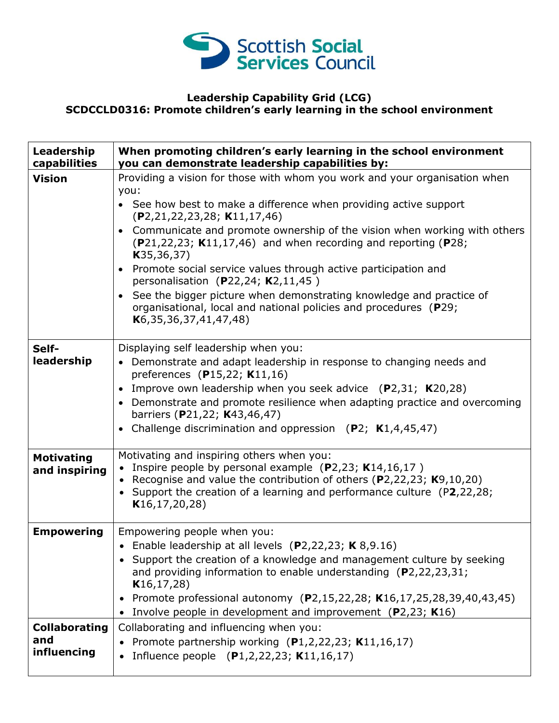

## **Leadership Capability Grid (LCG) SCDCCLD0316: Promote children's early learning in the school environment**

| Leadership<br>capabilities         | When promoting children's early learning in the school environment<br>you can demonstrate leadership capabilities by:                                                                                                                                                           |
|------------------------------------|---------------------------------------------------------------------------------------------------------------------------------------------------------------------------------------------------------------------------------------------------------------------------------|
| <b>Vision</b>                      | Providing a vision for those with whom you work and your organisation when<br>you:                                                                                                                                                                                              |
|                                    | • See how best to make a difference when providing active support<br>(P2, 21, 22, 23, 28; K11, 17, 46)                                                                                                                                                                          |
|                                    | • Communicate and promote ownership of the vision when working with others<br>$(P21, 22, 23; K11, 17, 46)$ and when recording and reporting (P28;<br>K35, 36, 37)                                                                                                               |
|                                    | • Promote social service values through active participation and<br>personalisation (P22,24; $K2,11,45$ )                                                                                                                                                                       |
|                                    | • See the bigger picture when demonstrating knowledge and practice of<br>organisational, local and national policies and procedures (P29;<br>K6, 35, 36, 37, 41, 47, 48)                                                                                                        |
| Self-                              | Displaying self leadership when you:                                                                                                                                                                                                                                            |
| leadership                         | • Demonstrate and adapt leadership in response to changing needs and<br>preferences (P15,22; K11,16)                                                                                                                                                                            |
|                                    | • Improve own leadership when you seek advice (P2,31; K20,28)                                                                                                                                                                                                                   |
|                                    | • Demonstrate and promote resilience when adapting practice and overcoming                                                                                                                                                                                                      |
|                                    | barriers (P21,22; K43,46,47)<br>• Challenge discrimination and oppression $(P2; K1,4,45,47)$                                                                                                                                                                                    |
| <b>Motivating</b><br>and inspiring | Motivating and inspiring others when you:<br>• Inspire people by personal example (P2,23; K14,16,17)<br>• Recognise and value the contribution of others (P2,22,23; $K9,10,20$ )<br>• Support the creation of a learning and performance culture (P2,22,28;<br>K16, 17, 20, 28) |
| <b>Empowering</b>                  | Empowering people when you:                                                                                                                                                                                                                                                     |
|                                    | • Enable leadership at all levels $(P2, 22, 23; K8, 9.16)$<br>• Support the creation of a knowledge and management culture by seeking<br>and providing information to enable understanding $(P2, 22, 23, 31)$<br>K16, 17, 28)                                                   |
|                                    | • Promote professional autonomy (P2,15,22,28; K16,17,25,28,39,40,43,45)<br>• Involve people in development and improvement (P2,23; K16)                                                                                                                                         |
| <b>Collaborating</b>               | Collaborating and influencing when you:                                                                                                                                                                                                                                         |
| and<br>influencing                 | Promote partnership working $(P1,2,22,23; K11,16,17)$<br>Influence people $(P1,2,22,23; K11,16,17)$                                                                                                                                                                             |